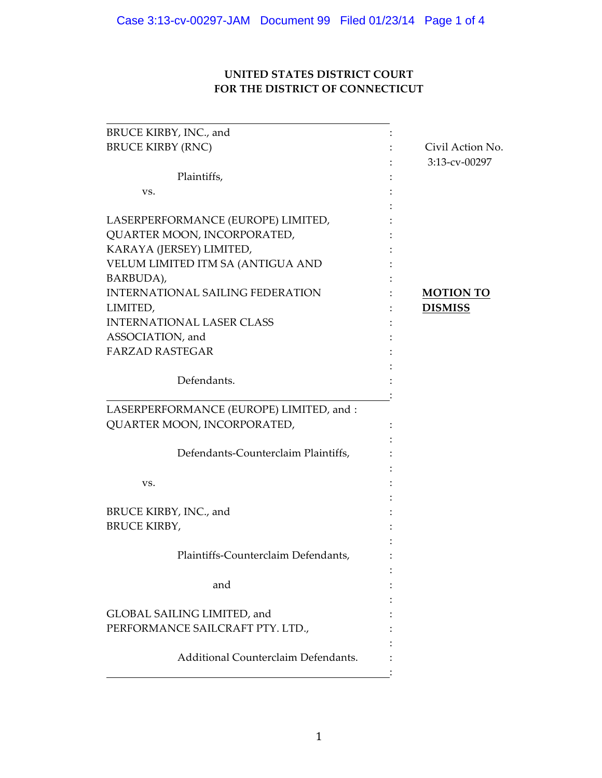# UNITED STATES DISTRICT COURT FOR THE DISTRICT OF CONNECTICUT

| BRUCE KIRBY, INC., and                   |                  |
|------------------------------------------|------------------|
| <b>BRUCE KIRBY (RNC)</b>                 | Civil Action No. |
|                                          | 3:13-cv-00297    |
| Plaintiffs,                              |                  |
| VS.                                      |                  |
|                                          |                  |
| LASERPERFORMANCE (EUROPE) LIMITED,       |                  |
| QUARTER MOON, INCORPORATED,              |                  |
| KARAYA (JERSEY) LIMITED,                 |                  |
| VELUM LIMITED ITM SA (ANTIGUA AND        |                  |
| BARBUDA),                                |                  |
| <b>INTERNATIONAL SAILING FEDERATION</b>  | <b>MOTION TO</b> |
| LIMITED,                                 | <b>DISMISS</b>   |
| <b>INTERNATIONAL LASER CLASS</b>         |                  |
| ASSOCIATION, and                         |                  |
| <b>FARZAD RASTEGAR</b>                   |                  |
|                                          |                  |
| Defendants.                              |                  |
|                                          |                  |
| LASERPERFORMANCE (EUROPE) LIMITED, and : |                  |
| QUARTER MOON, INCORPORATED,              |                  |
|                                          |                  |
| Defendants-Counterclaim Plaintiffs,      |                  |
|                                          |                  |
| VS.                                      |                  |
|                                          |                  |
| BRUCE KIRBY, INC., and                   |                  |
| <b>BRUCE KIRBY,</b>                      |                  |
|                                          |                  |
| Plaintiffs-Counterclaim Defendants,      |                  |
|                                          |                  |
| and                                      |                  |
|                                          |                  |
| GLOBAL SAILING LIMITED, and              |                  |
| PERFORMANCE SAILCRAFT PTY. LTD.,         |                  |
|                                          |                  |
| Additional Counterclaim Defendants.      |                  |
|                                          |                  |
|                                          |                  |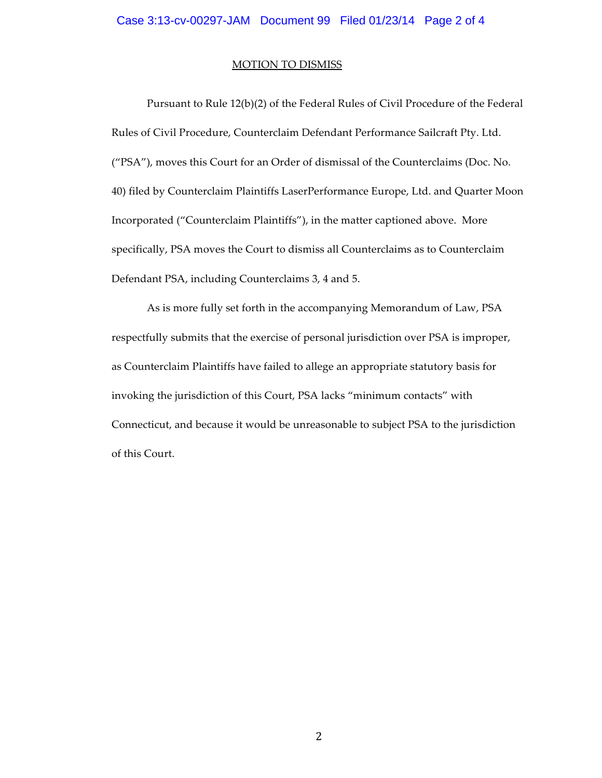#### **MOTION TO DISMISS**

Pursuant to Rule 12(b)(2) of the Federal Rules of Civil Procedure of the Federal Rules of Civil Procedure, Counterclaim Defendant Performance Sailcraft Pty. Ltd. ("PSA"), moves this Court for an Order of dismissal of the Counterclaims (Doc. No. 40) filed by Counterclaim Plaintiffs LaserPerformance Europe, Ltd. and Quarter Moon Incorporated ("Counterclaim Plaintiffs"), in the matter captioned above. More specifically, PSA moves the Court to dismiss all Counterclaims as to Counterclaim Defendant PSA, including Counterclaims 3, 4 and 5.

As is more fully set forth in the accompanying Memorandum of Law, PSA respectfully submits that the exercise of personal jurisdiction over PSA is improper, as Counterclaim Plaintiffs have failed to allege an appropriate statutory basis for invoking the jurisdiction of this Court, PSA lacks "minimum contacts" with Connecticut, and because it would be unreasonable to subject PSA to the jurisdiction of this Court.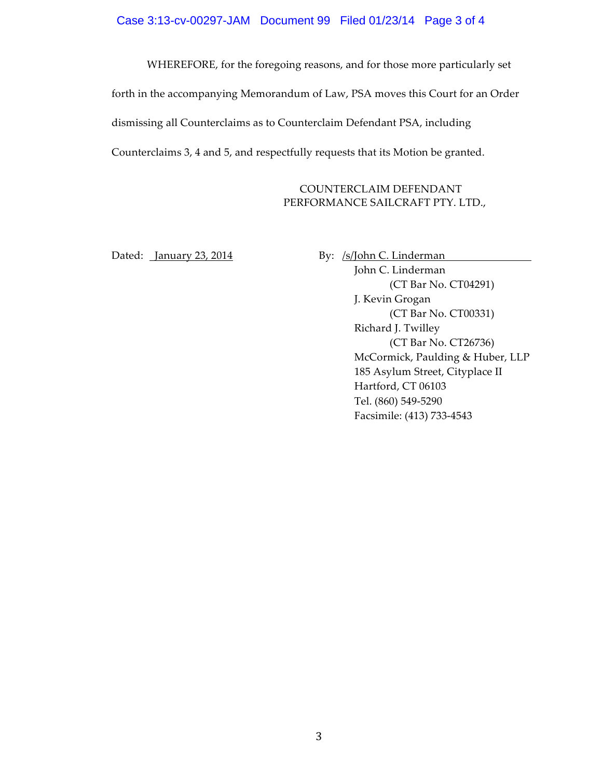### Case 3:13-cv-00297-JAM Document 99 Filed 01/23/14 Page 3 of 4

WHEREFORE, for the foregoing reasons, and for those more particularly set forth in the accompanying Memorandum of Law, PSA moves this Court for an Order dismissing all Counterclaims as to Counterclaim Defendant PSA, including Counterclaims 3, 4 and 5, and respectfully requests that its Motion be granted.

### COUNTERCLAIM DEFENDANT PERFORMANCE SAILCRAFT PTY. LTD.,

Dated: January 23, 2014 By: /s/John C. Linderman

John C. Linderman (CT Bar No. CT04291) J. Kevin Grogan (CT Bar No. CT00331) Richard J. Twilley (CT Bar No. CT26736) McCormick, Paulding & Huber, LLP 185 Asylum Street, Cityplace II Hartford, CT 06103 Tel. (860) 549-5290 Facsimile: (413) 733-4543